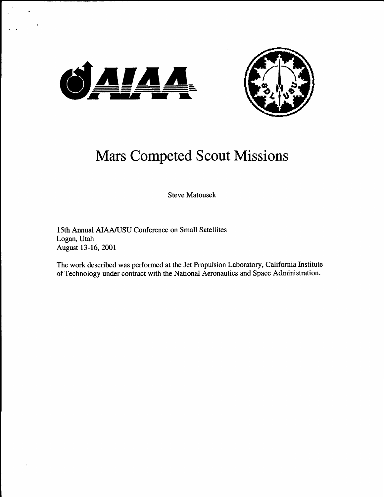



# Mars Competed Scout Missions

**Steve Matousek** 

**15th Annual AIAA/USU Conference on Small Satellites Logan, Utah August 13-16,2001** 

**The work described was performed at the Jet Propulsion Laboratory, California Institute of Technology under contract with the National Aeronautics and Space Administration.**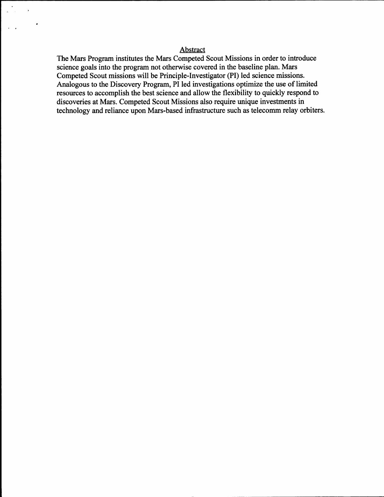## Abstract

.

 $\langle \rangle$ 

The Mars Program institutes the Mars Competed Scout Missions in order to introduce science goals into the program not otherwise covered in the baseline plan. Mars Competed Scout missions will be Principle-Investigator (PI) led science missions. Analogous to the Discovery Program, PI led investigations optimize the use of limited resources to accomplish the best science and allow the flexibility to quickly respond to discoveries at Mars. Competed Scout Missions also require unique investments in technology and reliance upon Mars-based infrastructure such as telecomm relay orbiters.